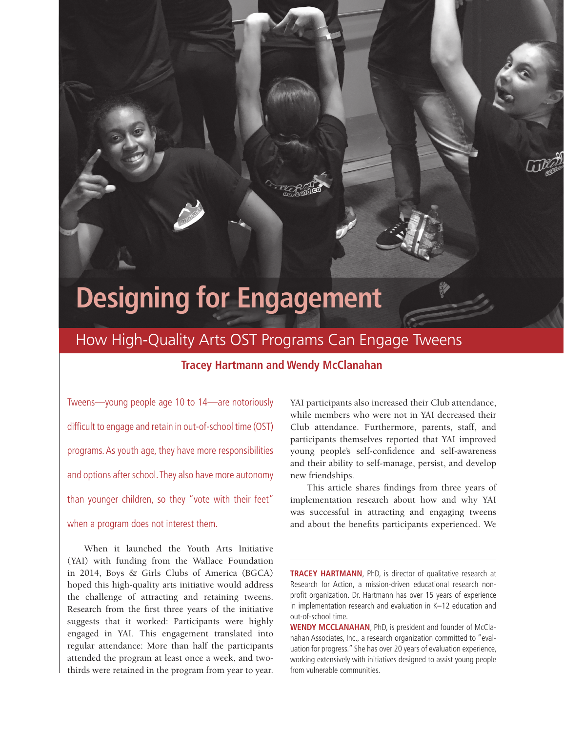# **Designing for Engagement**

## How High-Quality Arts OST Programs Can Engage Tweens

## **Tracey Hartmann and Wendy McClanahan**

Tweens—young people age 10 to 14—are notoriously difficult to engage and retain in out-of-school time (OST) programs. As youth age, they have more responsibilities and options after school. They also have more autonomy than younger children, so they "vote with their feet" when a program does not interest them.

When it launched the Youth Arts Initiative (YAI) with funding from the Wallace Foundation in 2014, Boys & Girls Clubs of America (BGCA) hoped this high-quality arts initiative would address the challenge of attracting and retaining tweens. Research from the first three years of the initiative suggests that it worked: Participants were highly engaged in YAI. This engagement translated into regular attendance: More than half the participants attended the program at least once a week, and twothirds were retained in the program from year to year. YAI participants also increased their Club attendance, while members who were not in YAI decreased their Club attendance. Furthermore, parents, staff, and participants themselves reported that YAI improved young people's self-confidence and self-awareness and their ability to self-manage, persist, and develop new friendships.

This article shares findings from three years of implementation research about how and why YAI was successful in attracting and engaging tweens and about the benefits participants experienced. We

**TRACEY HARTMANN**, PhD, is director of qualitative research at Research for Action, a mission-driven educational research nonprofit organization. Dr. Hartmann has over 15 years of experience in implementation research and evaluation in K–12 education and out-of-school time.

**WENDY MCCLANAHAN**, PhD, is president and founder of McClanahan Associates, Inc., a research organization committed to "evaluation for progress." She has over 20 years of evaluation experience, working extensively with initiatives designed to assist young people from vulnerable communities.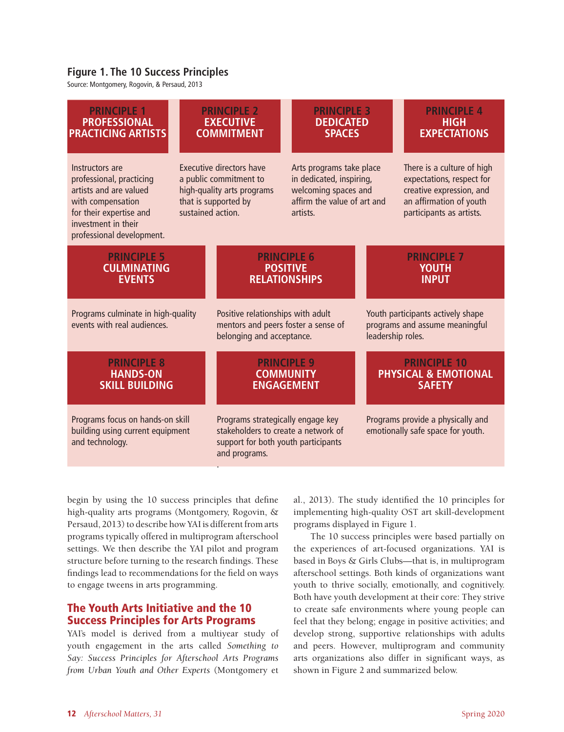## **Figure 1. The 10 Success Principles**

Source: Montgomery, Rogovin, & Persaud, 2013

| <b>PRINCIPLE 1</b>                                                                                                                                                        | <b>PRINCIPLE 2</b>                                                                                                            |                                                                                                                                  | <b>PRINCIPLE 3</b>                                                                                                      |                                                                                          | <b>PRINCIPLE 4</b>                                                                                                                         |
|---------------------------------------------------------------------------------------------------------------------------------------------------------------------------|-------------------------------------------------------------------------------------------------------------------------------|----------------------------------------------------------------------------------------------------------------------------------|-------------------------------------------------------------------------------------------------------------------------|------------------------------------------------------------------------------------------|--------------------------------------------------------------------------------------------------------------------------------------------|
| <b>PROFESSIONAL</b>                                                                                                                                                       | <b>EXECUTIVE</b>                                                                                                              |                                                                                                                                  | <b>DEDICATED</b>                                                                                                        |                                                                                          | <b>HIGH</b>                                                                                                                                |
| <b>PRACTICING ARTISTS</b>                                                                                                                                                 | <b>COMMITMENT</b>                                                                                                             |                                                                                                                                  | <b>SPACES</b>                                                                                                           |                                                                                          | <b>EXPECTATIONS</b>                                                                                                                        |
| Instructors are<br>professional, practicing<br>artists and are valued<br>with compensation<br>for their expertise and<br>investment in their<br>professional development. | Executive directors have<br>a public commitment to<br>high-quality arts programs<br>that is supported by<br>sustained action. |                                                                                                                                  | Arts programs take place<br>in dedicated, inspiring,<br>welcoming spaces and<br>affirm the value of art and<br>artists. |                                                                                          | There is a culture of high<br>expectations, respect for<br>creative expression, and<br>an affirmation of youth<br>participants as artists. |
| <b>PRINCIPLE 5</b>                                                                                                                                                        |                                                                                                                               | <b>PRINCIPLE 6</b>                                                                                                               |                                                                                                                         | <b>PRINCIPLE 7</b>                                                                       |                                                                                                                                            |
| <b>CULMINATING</b>                                                                                                                                                        |                                                                                                                               | <b>POSITIVE</b>                                                                                                                  |                                                                                                                         | <b>YOUTH</b>                                                                             |                                                                                                                                            |
| <b>EVENTS</b>                                                                                                                                                             |                                                                                                                               | <b>RELATIONSHIPS</b>                                                                                                             |                                                                                                                         | <b>INPUT</b>                                                                             |                                                                                                                                            |
| Programs culminate in high-quality<br>events with real audiences.                                                                                                         |                                                                                                                               | Positive relationships with adult<br>mentors and peers foster a sense of<br>belonging and acceptance.                            |                                                                                                                         | Youth participants actively shape<br>programs and assume meaningful<br>leadership roles. |                                                                                                                                            |
| <b>PRINCIPLE 8</b>                                                                                                                                                        |                                                                                                                               | <b>PRINCIPLE 9</b>                                                                                                               |                                                                                                                         | <b>PRINCIPLE 10</b>                                                                      |                                                                                                                                            |
| <b>HANDS-ON</b>                                                                                                                                                           |                                                                                                                               | <b>COMMUNITY</b>                                                                                                                 |                                                                                                                         | <b>PHYSICAL &amp; EMOTIONAL</b>                                                          |                                                                                                                                            |
| <b>SKILL BUILDING</b>                                                                                                                                                     |                                                                                                                               | <b>ENGAGEMENT</b>                                                                                                                |                                                                                                                         | <b>SAFETY</b>                                                                            |                                                                                                                                            |
| Programs focus on hands-on skill<br>building using current equipment<br>and technology.                                                                                   |                                                                                                                               | Programs strategically engage key<br>stakeholders to create a network of<br>support for both youth participants<br>and programs. |                                                                                                                         |                                                                                          | Programs provide a physically and<br>emotionally safe space for youth.                                                                     |

begin by using the 10 success principles that define high-quality arts programs (Montgomery, Rogovin, & Persaud, 2013) to describe how YAI is different from arts programs typically offered in multiprogram afterschool settings. We then describe the YAI pilot and program structure before turning to the research findings. These findings lead to recommendations for the field on ways to engage tweens in arts programming.

## The Youth Arts Initiative and the 10 Success Principles for Arts Programs

YAI's model is derived from a multiyear study of youth engagement in the arts called *Something to Say: Success Principles for Afterschool Arts Programs from Urban Youth and Other Experts* (Montgomery et al., 2013). The study identified the 10 principles for implementing high-quality OST art skill-development programs displayed in Figure 1.

The 10 success principles were based partially on the experiences of art-focused organizations. YAI is based in Boys & Girls Clubs—that is, in multiprogram afterschool settings. Both kinds of organizations want youth to thrive socially, emotionally, and cognitively. Both have youth development at their core: They strive to create safe environments where young people can feel that they belong; engage in positive activities; and develop strong, supportive relationships with adults and peers. However, multiprogram and community arts organizations also differ in significant ways, as shown in Figure 2 and summarized below.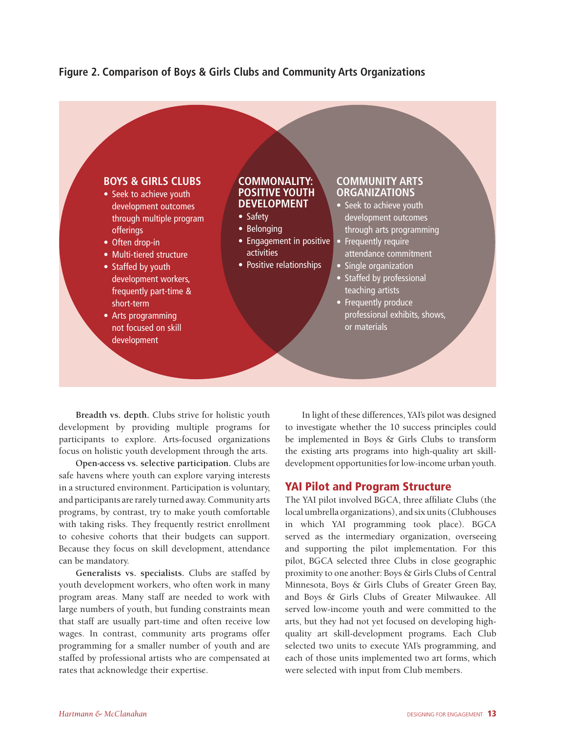## **Figure 2. Comparison of Boys & Girls Clubs and Community Arts Organizations**



**Breadth vs. depth.** Clubs strive for holistic youth development by providing multiple programs for participants to explore. Arts-focused organizations focus on holistic youth development through the arts.

**Open-access vs. selective participation.** Clubs are safe havens where youth can explore varying interests in a structured environment. Participation is voluntary, and participants are rarely turned away. Community arts programs, by contrast, try to make youth comfortable with taking risks. They frequently restrict enrollment to cohesive cohorts that their budgets can support. Because they focus on skill development, attendance can be mandatory.

**Generalists vs. specialists.** Clubs are staffed by youth development workers, who often work in many program areas. Many staff are needed to work with large numbers of youth, but funding constraints mean that staff are usually part-time and often receive low wages. In contrast, community arts programs offer programming for a smaller number of youth and are staffed by professional artists who are compensated at rates that acknowledge their expertise.

In light of these differences, YAI's pilot was designed to investigate whether the 10 success principles could be implemented in Boys & Girls Clubs to transform the existing arts programs into high-quality art skilldevelopment opportunities for low-income urban youth.

## YAI Pilot and Program Structure

The YAI pilot involved BGCA, three affiliate Clubs (the local umbrella organizations), and six units (Clubhouses in which YAI programming took place). BGCA served as the intermediary organization, overseeing and supporting the pilot implementation. For this pilot, BGCA selected three Clubs in close geographic proximity to one another: Boys & Girls Clubs of Central Minnesota, Boys & Girls Clubs of Greater Green Bay, and Boys & Girls Clubs of Greater Milwaukee. All served low-income youth and were committed to the arts, but they had not yet focused on developing highquality art skill-development programs. Each Club selected two units to execute YAI's programming, and each of those units implemented two art forms, which were selected with input from Club members.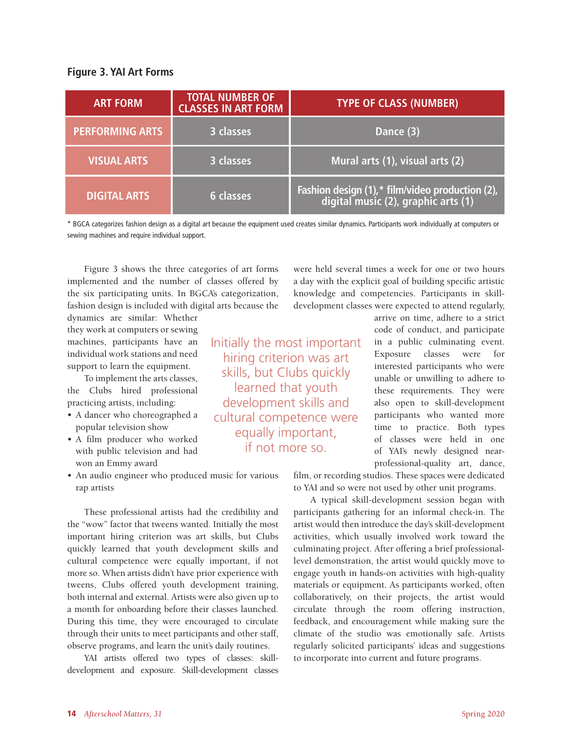## **Figure 3. YAI Art Forms**

| <b>ART FORM</b>        | <b>TOTAL NUMBER OF</b><br><b>CLASSES IN ART FORM</b> | <b>TYPE OF CLASS (NUMBER)</b>                                                          |  |  |
|------------------------|------------------------------------------------------|----------------------------------------------------------------------------------------|--|--|
| <b>PERFORMING ARTS</b> | 3 classes                                            | Dance (3)                                                                              |  |  |
| <b>VISUAL ARTS</b>     | 3 classes                                            | Mural arts (1), visual arts (2)                                                        |  |  |
| <b>DIGITAL ARTS</b>    | <b>6 classes</b>                                     | Fashion design (1),* film/video production (2),<br>digital music (2), graphic arts (1) |  |  |

\* BGCA categorizes fashion design as a digital art because the equipment used creates similar dynamics. Participants work individually at computers or sewing machines and require individual support.

Figure 3 shows the three categories of art forms implemented and the number of classes offered by the six participating units. In BGCA's categorization, fashion design is included with digital arts because the

dynamics are similar: Whether they work at computers or sewing machines, participants have an individual work stations and need support to learn the equipment.

To implement the arts classes, the Clubs hired professional practicing artists, including:

- A dancer who choreographed a popular television show
- A film producer who worked with public television and had won an Emmy award
- An audio engineer who produced music for various rap artists

These professional artists had the credibility and the "wow" factor that tweens wanted. Initially the most important hiring criterion was art skills, but Clubs quickly learned that youth development skills and cultural competence were equally important, if not more so. When artists didn't have prior experience with tweens, Clubs offered youth development training, both internal and external. Artists were also given up to a month for onboarding before their classes launched. During this time, they were encouraged to circulate through their units to meet participants and other staff, observe programs, and learn the unit's daily routines.

YAI artists offered two types of classes: skilldevelopment and exposure. Skill-development classes

Initially the most important hiring criterion was art skills, but Clubs quickly learned that youth development skills and cultural competence were equally important, if not more so.

were held several times a week for one or two hours a day with the explicit goal of building specific artistic knowledge and competencies. Participants in skilldevelopment classes were expected to attend regularly,

> arrive on time, adhere to a strict code of conduct, and participate in a public culminating event. Exposure classes were for interested participants who were unable or unwilling to adhere to these requirements. They were also open to skill-development participants who wanted more time to practice. Both types of classes were held in one of YAI's newly designed nearprofessional-quality art, dance,

film, or recording studios. These spaces were dedicated to YAI and so were not used by other unit programs.

A typical skill-development session began with participants gathering for an informal check-in. The artist would then introduce the day's skill-development activities, which usually involved work toward the culminating project. After offering a brief professionallevel demonstration, the artist would quickly move to engage youth in hands-on activities with high-quality materials or equipment. As participants worked, often collaboratively, on their projects, the artist would circulate through the room offering instruction, feedback, and encouragement while making sure the climate of the studio was emotionally safe. Artists regularly solicited participants' ideas and suggestions to incorporate into current and future programs.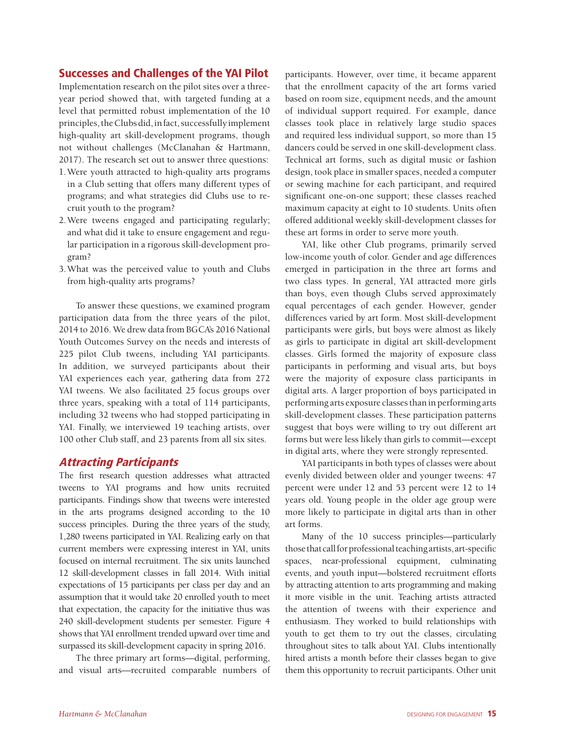## Successes and Challenges of the YAI Pilot

Implementation research on the pilot sites over a threeyear period showed that, with targeted funding at a level that permitted robust implementation of the 10 principles, the Clubs did, in fact, successfully implement high-quality art skill-development programs, though not without challenges (McClanahan & Hartmann, 2017). The research set out to answer three questions:

- 1.Were youth attracted to high-quality arts programs in a Club setting that offers many different types of programs; and what strategies did Clubs use to recruit youth to the program?
- 2.Were tweens engaged and participating regularly; and what did it take to ensure engagement and regular participation in a rigorous skill-development program?
- 3.What was the perceived value to youth and Clubs from high-quality arts programs?

To answer these questions, we examined program participation data from the three years of the pilot, 2014 to 2016. We drew data from BGCA's 2016 National Youth Outcomes Survey on the needs and interests of 225 pilot Club tweens, including YAI participants. In addition, we surveyed participants about their YAI experiences each year, gathering data from 272 YAI tweens. We also facilitated 25 focus groups over three years, speaking with a total of 114 participants, including 32 tweens who had stopped participating in YAI. Finally, we interviewed 19 teaching artists, over 100 other Club staff, and 23 parents from all six sites.

## Attracting Participants

The first research question addresses what attracted tweens to YAI programs and how units recruited participants. Findings show that tweens were interested in the arts programs designed according to the 10 success principles. During the three years of the study, 1,280 tweens participated in YAI. Realizing early on that current members were expressing interest in YAI, units focused on internal recruitment. The six units launched 12 skill-development classes in fall 2014. With initial expectations of 15 participants per class per day and an assumption that it would take 20 enrolled youth to meet that expectation, the capacity for the initiative thus was 240 skill-development students per semester. Figure 4 shows that YAI enrollment trended upward over time and surpassed its skill-development capacity in spring 2016.

The three primary art forms—digital, performing, and visual arts—recruited comparable numbers of participants. However, over time, it became apparent that the enrollment capacity of the art forms varied based on room size, equipment needs, and the amount of individual support required. For example, dance classes took place in relatively large studio spaces and required less individual support, so more than 15 dancers could be served in one skill-development class. Technical art forms, such as digital music or fashion design, took place in smaller spaces, needed a computer or sewing machine for each participant, and required significant one-on-one support; these classes reached maximum capacity at eight to 10 students. Units often offered additional weekly skill-development classes for these art forms in order to serve more youth.

YAI, like other Club programs, primarily served low-income youth of color. Gender and age differences emerged in participation in the three art forms and two class types. In general, YAI attracted more girls than boys, even though Clubs served approximately equal percentages of each gender. However, gender differences varied by art form. Most skill-development participants were girls, but boys were almost as likely as girls to participate in digital art skill-development classes. Girls formed the majority of exposure class participants in performing and visual arts, but boys were the majority of exposure class participants in digital arts. A larger proportion of boys participated in performing arts exposure classes than in performing arts skill-development classes. These participation patterns suggest that boys were willing to try out different art forms but were less likely than girls to commit—except in digital arts, where they were strongly represented.

YAI participants in both types of classes were about evenly divided between older and younger tweens: 47 percent were under 12 and 53 percent were 12 to 14 years old. Young people in the older age group were more likely to participate in digital arts than in other art forms.

Many of the 10 success principles—particularly those that call for professional teaching artists, art-specific spaces, near-professional equipment, culminating events, and youth input—bolstered recruitment efforts by attracting attention to arts programming and making it more visible in the unit. Teaching artists attracted the attention of tweens with their experience and enthusiasm. They worked to build relationships with youth to get them to try out the classes, circulating throughout sites to talk about YAI. Clubs intentionally hired artists a month before their classes began to give them this opportunity to recruit participants. Other unit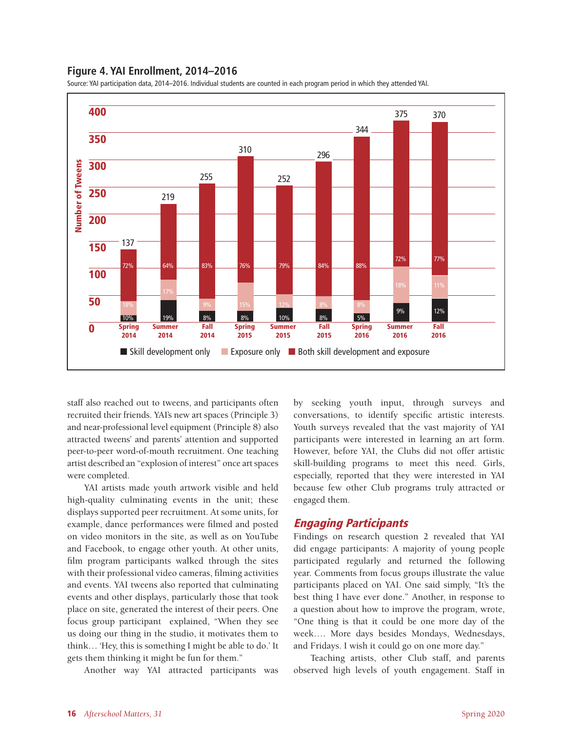#### **Figure 4. YAI Enrollment, 2014–2016**

Source: YAI participation data, 2014–2016. Individual students are counted in each program period in which they attended YAI.



staff also reached out to tweens, and participants often recruited their friends. YAI's new art spaces (Principle 3) and near-professional level equipment (Principle 8) also attracted tweens' and parents' attention and supported peer-to-peer word-of-mouth recruitment. One teaching artist described an "explosion of interest" once art spaces were completed.

YAI artists made youth artwork visible and held high-quality culminating events in the unit; these displays supported peer recruitment. At some units, for example, dance performances were filmed and posted on video monitors in the site, as well as on YouTube and Facebook, to engage other youth. At other units, film program participants walked through the sites with their professional video cameras, filming activities and events. YAI tweens also reported that culminating events and other displays, particularly those that took place on site, generated the interest of their peers. One focus group participant explained, "When they see us doing our thing in the studio, it motivates them to think… 'Hey, this is something I might be able to do.' It gets them thinking it might be fun for them."

Another way YAI attracted participants was

by seeking youth input, through surveys and conversations, to identify specific artistic interests. Youth surveys revealed that the vast majority of YAI participants were interested in learning an art form. However, before YAI, the Clubs did not offer artistic skill-building programs to meet this need. Girls, especially, reported that they were interested in YAI because few other Club programs truly attracted or engaged them.

#### Engaging Participants

Findings on research question 2 revealed that YAI did engage participants: A majority of young people participated regularly and returned the following year. Comments from focus groups illustrate the value participants placed on YAI. One said simply, "It's the best thing I have ever done." Another, in response to a question about how to improve the program, wrote, "One thing is that it could be one more day of the week…. More days besides Mondays, Wednesdays, and Fridays. I wish it could go on one more day."

Teaching artists, other Club staff, and parents observed high levels of youth engagement. Staff in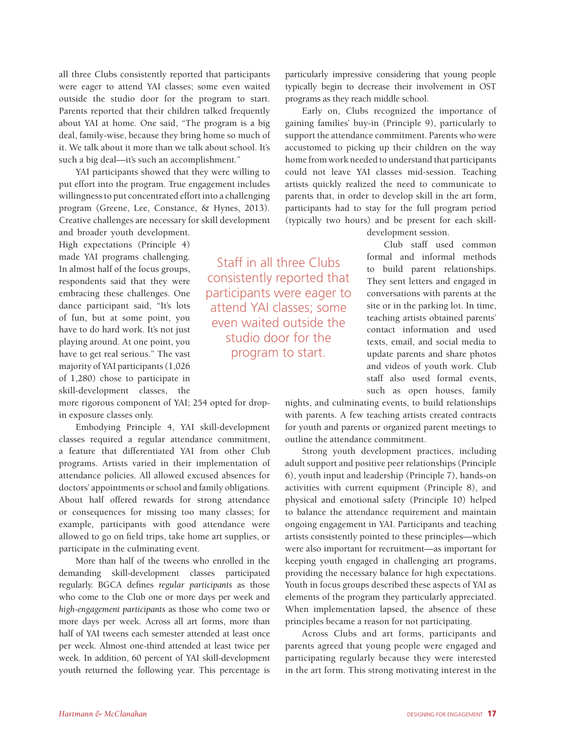all three Clubs consistently reported that participants were eager to attend YAI classes; some even waited outside the studio door for the program to start. Parents reported that their children talked frequently about YAI at home. One said, "The program is a big deal, family-wise, because they bring home so much of it. We talk about it more than we talk about school. It's such a big deal—it's such an accomplishment."

YAI participants showed that they were willing to put effort into the program. True engagement includes willingness to put concentrated effort into a challenging program (Greene, Lee, Constance, & Hynes, 2013). Creative challenges are necessary for skill development

and broader youth development. High expectations (Principle 4) made YAI programs challenging. In almost half of the focus groups, respondents said that they were embracing these challenges. One dance participant said, "It's lots of fun, but at some point, you have to do hard work. It's not just playing around. At one point, you have to get real serious." The vast majority of YAI participants (1,026 of 1,280) chose to participate in skill-development classes, the

more rigorous component of YAI; 254 opted for dropin exposure classes only.

Embodying Principle 4, YAI skill-development classes required a regular attendance commitment, a feature that differentiated YAI from other Club programs. Artists varied in their implementation of attendance policies. All allowed excused absences for doctors' appointments or school and family obligations. About half offered rewards for strong attendance or consequences for missing too many classes; for example, participants with good attendance were allowed to go on field trips, take home art supplies, or participate in the culminating event.

More than half of the tweens who enrolled in the demanding skill-development classes participated regularly. BGCA defines *regular participants* as those who come to the Club one or more days per week and *high-engagement participants* as those who come two or more days per week. Across all art forms, more than half of YAI tweens each semester attended at least once per week. Almost one-third attended at least twice per week. In addition, 60 percent of YAI skill-development youth returned the following year. This percentage is

Staff in all three Clubs consistently reported that participants were eager to attend YAI classes; some even waited outside the studio door for the program to start.

particularly impressive considering that young people typically begin to decrease their involvement in OST programs as they reach middle school.

Early on, Clubs recognized the importance of gaining families' buy-in (Principle 9), particularly to support the attendance commitment. Parents who were accustomed to picking up their children on the way home from work needed to understand that participants could not leave YAI classes mid-session. Teaching artists quickly realized the need to communicate to parents that, in order to develop skill in the art form, participants had to stay for the full program period (typically two hours) and be present for each skill-

development session.

Club staff used common formal and informal methods to build parent relationships. They sent letters and engaged in conversations with parents at the site or in the parking lot. In time, teaching artists obtained parents' contact information and used texts, email, and social media to update parents and share photos and videos of youth work. Club staff also used formal events, such as open houses, family

nights, and culminating events, to build relationships with parents. A few teaching artists created contracts for youth and parents or organized parent meetings to outline the attendance commitment.

Strong youth development practices, including adult support and positive peer relationships (Principle 6), youth input and leadership (Principle 7), hands-on activities with current equipment (Principle 8), and physical and emotional safety (Principle 10) helped to balance the attendance requirement and maintain ongoing engagement in YAI. Participants and teaching artists consistently pointed to these principles—which were also important for recruitment—as important for keeping youth engaged in challenging art programs, providing the necessary balance for high expectations. Youth in focus groups described these aspects of YAI as elements of the program they particularly appreciated. When implementation lapsed, the absence of these principles became a reason for not participating.

Across Clubs and art forms, participants and parents agreed that young people were engaged and participating regularly because they were interested in the art form. This strong motivating interest in the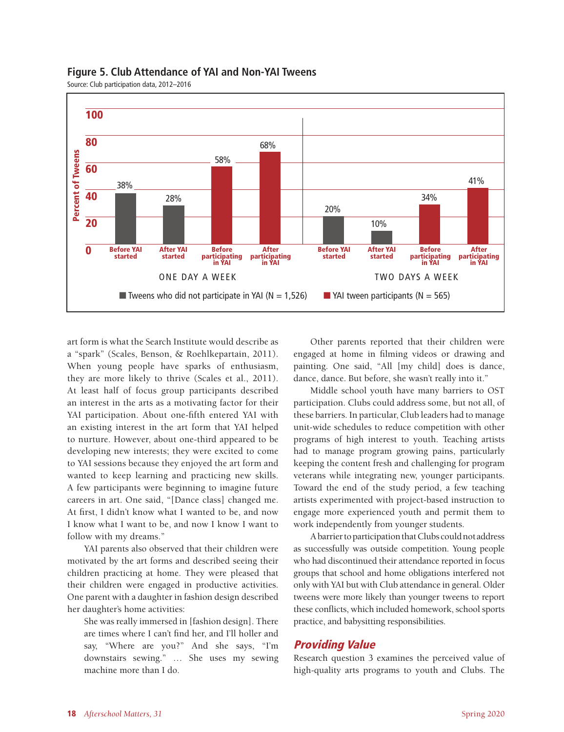

## **Figure 5. Club Attendance of YAI and Non-YAI Tweens**

Source: Club participation data, 2012–2016

art form is what the Search Institute would describe as a "spark" (Scales, Benson, & Roehlkepartain, 2011). When young people have sparks of enthusiasm, they are more likely to thrive (Scales et al., 2011). At least half of focus group participants described an interest in the arts as a motivating factor for their YAI participation. About one-fifth entered YAI with an existing interest in the art form that YAI helped to nurture. However, about one-third appeared to be developing new interests; they were excited to come to YAI sessions because they enjoyed the art form and wanted to keep learning and practicing new skills. A few participants were beginning to imagine future careers in art. One said, "[Dance class] changed me. At first, I didn't know what I wanted to be, and now I know what I want to be, and now I know I want to follow with my dreams."

YAI parents also observed that their children were motivated by the art forms and described seeing their children practicing at home. They were pleased that their children were engaged in productive activities. One parent with a daughter in fashion design described her daughter's home activities:

She was really immersed in [fashion design]. There are times where I can't find her, and I'll holler and say, "Where are you?" And she says, "I'm downstairs sewing." … She uses my sewing machine more than I do.

Other parents reported that their children were engaged at home in filming videos or drawing and painting. One said, "All [my child] does is dance, dance, dance. But before, she wasn't really into it."

Middle school youth have many barriers to OST participation. Clubs could address some, but not all, of these barriers. In particular, Club leaders had to manage unit-wide schedules to reduce competition with other programs of high interest to youth. Teaching artists had to manage program growing pains, particularly keeping the content fresh and challenging for program veterans while integrating new, younger participants. Toward the end of the study period, a few teaching artists experimented with project-based instruction to engage more experienced youth and permit them to work independently from younger students.

A barrier to participation that Clubs could not address as successfully was outside competition. Young people who had discontinued their attendance reported in focus groups that school and home obligations interfered not only with YAI but with Club attendance in general. Older tweens were more likely than younger tweens to report these conflicts, which included homework, school sports practice, and babysitting responsibilities.

## Providing Value

Research question 3 examines the perceived value of high-quality arts programs to youth and Clubs. The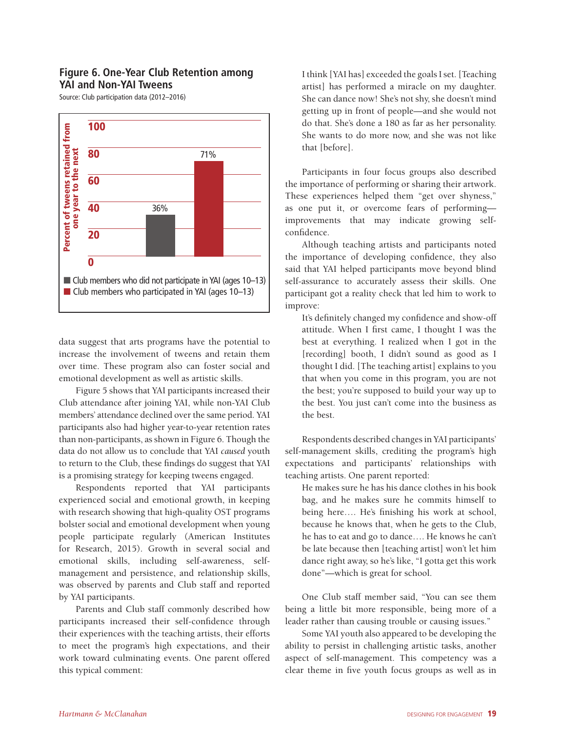## **Figure 6. One-Year Club Retention among YAI and Non-YAI Tweens**

Source: Club participation data (2012–2016)



data suggest that arts programs have the potential to increase the involvement of tweens and retain them over time. These program also can foster social and emotional development as well as artistic skills.

Figure 5 shows that YAI participants increased their Club attendance after joining YAI, while non-YAI Club members' attendance declined over the same period. YAI participants also had higher year-to-year retention rates than non-participants, as shown in Figure 6. Though the data do not allow us to conclude that YAI *caused* youth to return to the Club, these findings do suggest that YAI is a promising strategy for keeping tweens engaged.

Respondents reported that YAI participants experienced social and emotional growth, in keeping with research showing that high-quality OST programs bolster social and emotional development when young people participate regularly (American Institutes for Research, 2015). Growth in several social and emotional skills, including self-awareness, selfmanagement and persistence, and relationship skills, was observed by parents and Club staff and reported by YAI participants.

Parents and Club staff commonly described how participants increased their self-confidence through their experiences with the teaching artists, their efforts to meet the program's high expectations, and their work toward culminating events. One parent offered this typical comment:

I think [YAI has] exceeded the goals I set. [Teaching artist] has performed a miracle on my daughter. She can dance now! She's not shy, she doesn't mind getting up in front of people—and she would not do that. She's done a 180 as far as her personality. She wants to do more now, and she was not like that [before].

Participants in four focus groups also described the importance of performing or sharing their artwork. These experiences helped them "get over shyness," as one put it, or overcome fears of performing improvements that may indicate growing selfconfidence.

Although teaching artists and participants noted the importance of developing confidence, they also said that YAI helped participants move beyond blind self-assurance to accurately assess their skills. One participant got a reality check that led him to work to improve:

It's definitely changed my confidence and show-off attitude. When I first came, I thought I was the best at everything. I realized when I got in the [recording] booth, I didn't sound as good as I thought I did. [The teaching artist] explains to you that when you come in this program, you are not the best; you're supposed to build your way up to the best. You just can't come into the business as the best.

Respondents described changes in YAI participants' self-management skills, crediting the program's high expectations and participants' relationships with teaching artists. One parent reported:

He makes sure he has his dance clothes in his book bag, and he makes sure he commits himself to being here…. He's finishing his work at school, because he knows that, when he gets to the Club, he has to eat and go to dance…. He knows he can't be late because then [teaching artist] won't let him dance right away, so he's like, "I gotta get this work done"—which is great for school.

One Club staff member said, "You can see them being a little bit more responsible, being more of a leader rather than causing trouble or causing issues."

Some YAI youth also appeared to be developing the ability to persist in challenging artistic tasks, another aspect of self-management. This competency was a clear theme in five youth focus groups as well as in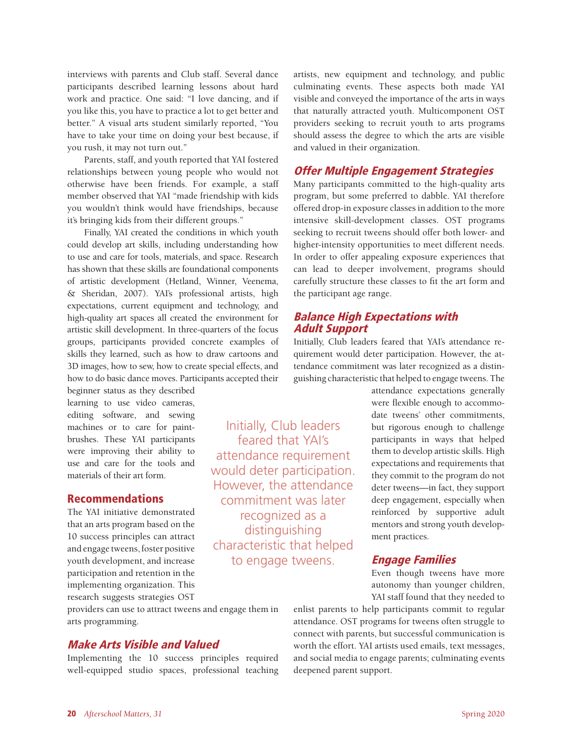interviews with parents and Club staff. Several dance participants described learning lessons about hard work and practice. One said: "I love dancing, and if you like this, you have to practice a lot to get better and better." A visual arts student similarly reported, "You have to take your time on doing your best because, if you rush, it may not turn out."

Parents, staff, and youth reported that YAI fostered relationships between young people who would not otherwise have been friends. For example, a staff member observed that YAI "made friendship with kids you wouldn't think would have friendships, because it's bringing kids from their different groups."

Finally, YAI created the conditions in which youth could develop art skills, including understanding how to use and care for tools, materials, and space. Research has shown that these skills are foundational components of artistic development (Hetland, Winner, Veenema, & Sheridan, 2007). YAI's professional artists, high expectations, current equipment and technology, and high-quality art spaces all created the environment for artistic skill development. In three-quarters of the focus groups, participants provided concrete examples of skills they learned, such as how to draw cartoons and 3D images, how to sew, how to create special effects, and how to do basic dance moves. Participants accepted their

beginner status as they described learning to use video cameras, editing software, and sewing machines or to care for paintbrushes. These YAI participants were improving their ability to use and care for the tools and materials of their art form.

## Recommendations

The YAI initiative demonstrated that an arts program based on the 10 success principles can attract and engage tweens, foster positive youth development, and increase participation and retention in the implementing organization. This research suggests strategies OST

providers can use to attract tweens and engage them in arts programming.

## Make Arts Visible and Valued

Implementing the 10 success principles required well-equipped studio spaces, professional teaching artists, new equipment and technology, and public culminating events. These aspects both made YAI visible and conveyed the importance of the arts in ways that naturally attracted youth. Multicomponent OST providers seeking to recruit youth to arts programs should assess the degree to which the arts are visible and valued in their organization.

## Offer Multiple Engagement Strategies

Many participants committed to the high-quality arts program, but some preferred to dabble. YAI therefore offered drop-in exposure classes in addition to the more intensive skill-development classes. OST programs seeking to recruit tweens should offer both lower- and higher-intensity opportunities to meet different needs. In order to offer appealing exposure experiences that can lead to deeper involvement, programs should carefully structure these classes to fit the art form and the participant age range.

## Balance High Expectations with Adult Support

Initially, Club leaders feared that YAI's attendance requirement would deter participation. However, the attendance commitment was later recognized as a distinguishing characteristic that helped to engage tweens.

Initially, Club leaders feared that YAI's attendance requirement would deter participation. However, the attendance commitment was later recognized as a distinguishing characteristic that helped to engage tweens. The

> attendance expectations generally were flexible enough to accommodate tweens' other commitments, but rigorous enough to challenge participants in ways that helped them to develop artistic skills. High expectations and requirements that they commit to the program do not deter tweens—in fact, they support deep engagement, especially when reinforced by supportive adult mentors and strong youth development practices.

## Engage Families

Even though tweens have more autonomy than younger children, YAI staff found that they needed to

enlist parents to help participants commit to regular attendance. OST programs for tweens often struggle to connect with parents, but successful communication is worth the effort. YAI artists used emails, text messages, and social media to engage parents; culminating events deepened parent support.